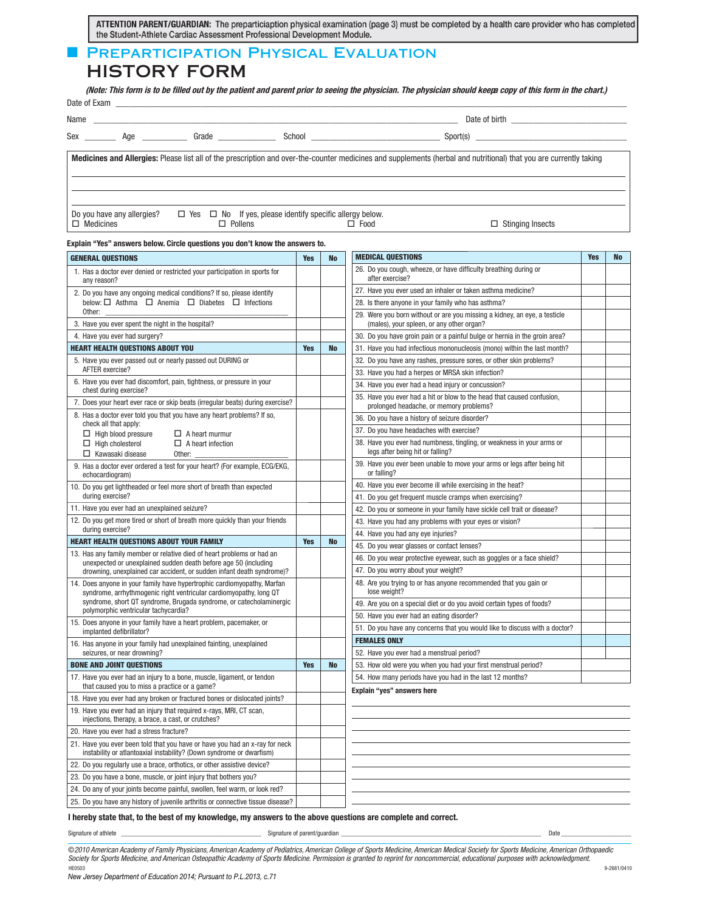ATTENTION PARENT/GUARDIAN: The preparticiaption physical examination (page 3) must be completed by a health care provider who has completed the Student-Athlete Cardiac Assessment Professional Development Module.

# **FREPARTICIPATION PHYSICAL EVALUATION**

HISTORY FORM

**(Note: This form is to be filled out by the patient and parent prior to seeing the physician. The physician should keepa copy of this form in the chart.)**

| Date of Exam |     |       |        |               |
|--------------|-----|-------|--------|---------------|
| Name         |     |       |        | Date of birth |
| Sex          | Aae | Grade | School | Sport(s)      |

Medicines and Allergies: Please list all of the prescription and over-the-counter medicines and supplements (herbal and nutritional) that you are currently taking

Do you have any allergies?  $\Box$  Yes  $\Box$  No If yes, please identify specific allergy below.  $\Box$  Medicines  $\Box$  Pollens  $\Box$  Food  $\Box$  Stinging Insects

## Explain "Yes" answers below. Circle questions you don't know the answers to.

| <b>GENERAL QUESTIONS</b>                                                                                                                            | <b>Yes</b> | <b>No</b> | <b>MEDICAL QUESTIONS</b>                                                                                               | <b>Yes</b> | No |
|-----------------------------------------------------------------------------------------------------------------------------------------------------|------------|-----------|------------------------------------------------------------------------------------------------------------------------|------------|----|
| 1. Has a doctor ever denied or restricted your participation in sports for<br>any reason?                                                           |            |           | 26. Do you cough, wheeze, or have difficulty breathing during or<br>after exercise?                                    |            |    |
| 2. Do you have any ongoing medical conditions? If so, please identify                                                                               |            |           | 27. Have you ever used an inhaler or taken asthma medicine?                                                            |            |    |
| below: $\Box$ Asthma $\Box$ Anemia $\Box$ Diabetes $\Box$ Infections                                                                                |            |           | 28. Is there anyone in your family who has asthma?                                                                     |            |    |
| Other:<br>3. Have you ever spent the night in the hospital?                                                                                         |            |           | 29. Were you born without or are you missing a kidney, an eye, a testicle<br>(males), your spleen, or any other organ? |            |    |
| 4. Have you ever had surgery?                                                                                                                       |            |           | 30. Do you have groin pain or a painful bulge or hernia in the groin area?                                             |            |    |
| <b>HEART HEALTH QUESTIONS ABOUT YOU</b>                                                                                                             | <b>Yes</b> | <b>No</b> | 31. Have you had infectious mononucleosis (mono) within the last month?                                                |            |    |
| 5. Have you ever passed out or nearly passed out DURING or                                                                                          |            |           | 32. Do you have any rashes, pressure sores, or other skin problems?                                                    |            |    |
| AFTER exercise?                                                                                                                                     |            |           | 33. Have you had a herpes or MRSA skin infection?                                                                      |            |    |
| 6. Have you ever had discomfort, pain, tightness, or pressure in your<br>chest during exercise?                                                     |            |           | 34. Have you ever had a head injury or concussion?                                                                     |            |    |
| 7. Does your heart ever race or skip beats (irregular beats) during exercise?                                                                       |            |           | 35. Have you ever had a hit or blow to the head that caused confusion,<br>prolonged headache, or memory problems?      |            |    |
| 8. Has a doctor ever told you that you have any heart problems? If so,<br>check all that apply:                                                     |            |           | 36. Do you have a history of seizure disorder?                                                                         |            |    |
| $\Box$ High blood pressure<br>$\Box$ A heart murmur                                                                                                 |            |           | 37. Do you have headaches with exercise?                                                                               |            |    |
| $\Box$ High cholesterol<br>$\Box$ A heart infection<br>$\Box$ Kawasaki disease<br>Other:                                                            |            |           | 38. Have you ever had numbness, tingling, or weakness in your arms or<br>legs after being hit or falling?              |            |    |
| 9. Has a doctor ever ordered a test for your heart? (For example, ECG/EKG,<br>echocardiogram)                                                       |            |           | 39. Have you ever been unable to move your arms or legs after being hit<br>or falling?                                 |            |    |
| 10. Do you get lightheaded or feel more short of breath than expected                                                                               |            |           | 40. Have you ever become ill while exercising in the heat?                                                             |            |    |
| during exercise?                                                                                                                                    |            |           | 41. Do you get frequent muscle cramps when exercising?                                                                 |            |    |
| 11. Have you ever had an unexplained seizure?                                                                                                       |            |           | 42. Do you or someone in your family have sickle cell trait or disease?                                                |            |    |
| 12. Do you get more tired or short of breath more quickly than your friends                                                                         |            |           | 43. Have you had any problems with your eyes or vision?                                                                |            |    |
| during exercise?                                                                                                                                    |            |           | 44. Have you had any eye injuries?                                                                                     |            |    |
| <b>HEART HEALTH QUESTIONS ABOUT YOUR FAMILY</b>                                                                                                     | <b>Yes</b> | <b>No</b> | 45. Do you wear glasses or contact lenses?                                                                             |            |    |
| 13. Has any family member or relative died of heart problems or had an<br>unexpected or unexplained sudden death before age 50 (including           |            |           | 46. Do you wear protective eyewear, such as goggles or a face shield?                                                  |            |    |
| drowning, unexplained car accident, or sudden infant death syndrome)?                                                                               |            |           | 47. Do you worry about your weight?                                                                                    |            |    |
| 14. Does anyone in your family have hypertrophic cardiomyopathy, Marfan<br>syndrome, arrhythmogenic right ventricular cardiomyopathy, long QT       |            |           | 48. Are you trying to or has anyone recommended that you gain or<br>lose weight?                                       |            |    |
| syndrome, short QT syndrome, Brugada syndrome, or catecholaminergic<br>polymorphic ventricular tachycardia?                                         |            |           | 49. Are you on a special diet or do you avoid certain types of foods?                                                  |            |    |
| 15. Does anyone in your family have a heart problem, pacemaker, or                                                                                  |            |           | 50. Have you ever had an eating disorder?                                                                              |            |    |
| implanted defibrillator?                                                                                                                            |            |           | 51. Do you have any concerns that you would like to discuss with a doctor?                                             |            |    |
| 16. Has anyone in your family had unexplained fainting, unexplained                                                                                 |            |           | <b>FEMALES ONLY</b>                                                                                                    |            |    |
| seizures, or near drowning?                                                                                                                         |            |           | 52. Have you ever had a menstrual period?                                                                              |            |    |
| <b>BONE AND JOINT QUESTIONS</b>                                                                                                                     | <b>Yes</b> | No        | 53. How old were you when you had your first menstrual period?                                                         |            |    |
| 17. Have you ever had an injury to a bone, muscle, ligament, or tendon<br>that caused you to miss a practice or a game?                             |            |           | 54. How many periods have you had in the last 12 months?<br>Explain "yes" answers here                                 |            |    |
| 18. Have you ever had any broken or fractured bones or dislocated joints?                                                                           |            |           |                                                                                                                        |            |    |
| 19. Have you ever had an injury that required x-rays, MRI, CT scan,<br>injections, therapy, a brace, a cast, or crutches?                           |            |           |                                                                                                                        |            |    |
| 20. Have you ever had a stress fracture?                                                                                                            |            |           |                                                                                                                        |            |    |
| 21. Have you ever been told that you have or have you had an x-ray for neck<br>instability or atlantoaxial instability? (Down syndrome or dwarfism) |            |           |                                                                                                                        |            |    |
| 22. Do you regularly use a brace, orthotics, or other assistive device?                                                                             |            |           |                                                                                                                        |            |    |
| 23. Do you have a bone, muscle, or joint injury that bothers you?                                                                                   |            |           |                                                                                                                        |            |    |
| 24. Do any of your joints become painful, swollen, feel warm, or look red?                                                                          |            |           |                                                                                                                        |            |    |
| 25. Do you have any history of juvenile arthritis or connective tissue disease?                                                                     |            |           |                                                                                                                        |            |    |

## I hereby state that, to the best of my knowledge, my answers to the above questions are complete and correct.

Signature of athlete \_\_\_\_\_\_\_\_\_\_\_\_\_\_\_\_\_\_\_\_\_\_\_\_\_\_\_\_\_\_\_\_\_\_\_\_\_\_\_\_\_\_ Signature of parent/guardian \_\_\_\_\_\_\_\_\_\_\_\_\_\_\_\_\_\_\_\_\_\_\_\_\_\_\_\_\_\_\_\_\_\_\_\_\_\_\_\_\_\_\_\_\_\_\_\_\_\_\_\_\_\_\_\_\_\_\_\_ Date \_\_\_\_\_\_\_\_\_\_\_\_\_\_\_\_\_\_\_\_\_

©2010 American Academy of Family Physicians, American Academy of Pediatrics, American College of Sports Medicine, American Medical Society for Sports Medicine, American Orthopaedic Society for Sports Medicine, and American Osteopathic Academy of Sports Medicine. Permission is granted to reprint for noncommercial, educational purposes with acknowledgment. HE0503 9-2681/0410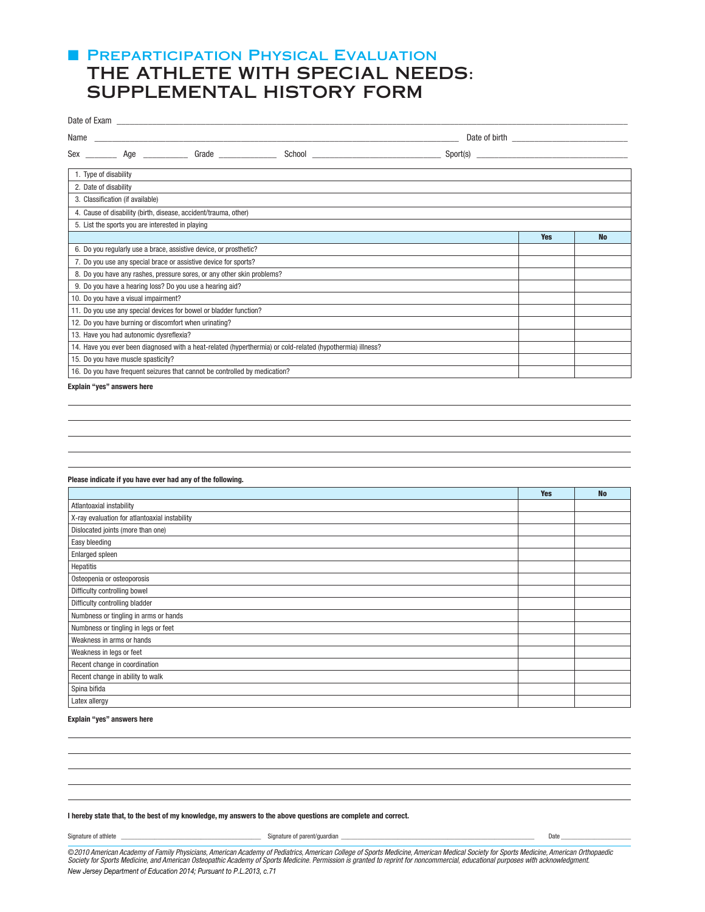## **F PREPARTICIPATION PHYSICAL EVALUATION** THE ATHLETE WITH SPECIAL NEEDS: SUPPLEMENTAL HISTORY FORM

| Name                                                                                                       |            |           |
|------------------------------------------------------------------------------------------------------------|------------|-----------|
| Sex Age Grade                                                                                              |            |           |
| 1. Type of disability                                                                                      |            |           |
| 2. Date of disability                                                                                      |            |           |
| 3. Classification (if available)                                                                           |            |           |
| 4. Cause of disability (birth, disease, accident/trauma, other)                                            |            |           |
| 5. List the sports you are interested in playing                                                           |            |           |
|                                                                                                            | <b>Yes</b> | <b>No</b> |
| 6. Do you regularly use a brace, assistive device, or prosthetic?                                          |            |           |
| 7. Do you use any special brace or assistive device for sports?                                            |            |           |
| 8. Do you have any rashes, pressure sores, or any other skin problems?                                     |            |           |
| 9. Do you have a hearing loss? Do you use a hearing aid?                                                   |            |           |
| 10. Do you have a visual impairment?                                                                       |            |           |
| 11. Do you use any special devices for bowel or bladder function?                                          |            |           |
| 12. Do you have burning or discomfort when urinating?                                                      |            |           |
| 13. Have you had autonomic dysreflexia?                                                                    |            |           |
| 14. Have you ever been diagnosed with a heat-related (hyperthermia) or cold-related (hypothermia) illness? |            |           |
| 15. Do you have muscle spasticity?                                                                         |            |           |
| 16. Do you have frequent seizures that cannot be controlled by medication?                                 |            |           |
|                                                                                                            |            |           |

Explain "yes" answers here

## Please indicate if you have ever had any of the following.

|                                               | <b>Yes</b> | <b>No</b> |
|-----------------------------------------------|------------|-----------|
| Atlantoaxial instability                      |            |           |
| X-ray evaluation for atlantoaxial instability |            |           |
| Dislocated joints (more than one)             |            |           |
| Easy bleeding                                 |            |           |
| Enlarged spleen                               |            |           |
| Hepatitis                                     |            |           |
| Osteopenia or osteoporosis                    |            |           |
| Difficulty controlling bowel                  |            |           |
| Difficulty controlling bladder                |            |           |
| Numbness or tingling in arms or hands         |            |           |
| Numbness or tingling in legs or feet          |            |           |
| Weakness in arms or hands                     |            |           |
| Weakness in legs or feet                      |            |           |
| Recent change in coordination                 |            |           |
| Recent change in ability to walk              |            |           |
| Spina bifida                                  |            |           |
| Latex allergy                                 |            |           |

## Explain "yes" answers here

| . .<br>Signature of athlete | parent/quardian<br>Signature r | Date |
|-----------------------------|--------------------------------|------|
|                             |                                |      |

I hereby state that, to the best of my knowledge, my answers to the above questions are complete and correct.

©2010 American Academy of Family Physicians, American Academy of Pediatrics, American College of Sports Medicine, American Medical Society for Sports Medicine, American Orthopaedic Society for Sports Medicine, and American Osteopathic Academy of Sports Medicine. Permission is granted to reprint for noncommercial, educational purposes with acknowledgment. *New Jersey Department of Education 2014; Pursuant to P.L.2013, c.71*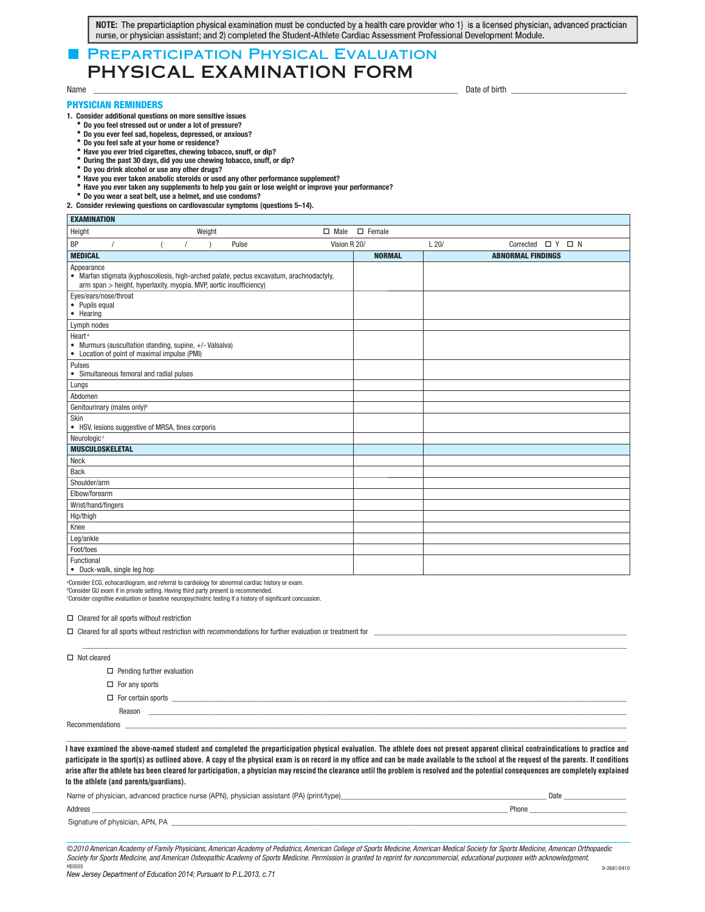NOTE: The preparticiaption physical examination must be conducted by a health care provider who 1) is a licensed physician, advanced practician nurse, or physician assistant; and 2) completed the Student-Athlete Cardiac Assessment Professional Development Module.

## **PREPARTICIPATION PHYSICAL EVALUATION** PHYSICAL EXAMINATION FORM

**EVAMINATION** 

## PHYSICIAN REMINDERS

**. Consider additional questions on more sensitive issues**

- **Do you feel stressed out or under a lot of pressure?**
- 
- 
- **+o you ever feel sad hopeless depressed or an\_ious& +o you feel safe at your home or residence&**
- **/ave you ever tried cigarettes che^ing tobacco snuff or dip& +uring the past days did you use che^ing tobacco snuff or dip& +o you drink alcohol or use any other drugs&**
- 
- *bo* **you what allows the state anabolic steroids or used any other performance supplement?**
- Have you ever taken any supplements to help you gain or lose weight or improve your performance?
- Do you wear a seat belt, use a helmet, and use condoms?

## 2. Consider reviewing questions on cardiovascular symptoms (questions 5-14).

| LAAWIINAHUN                                                                                                                                                                  |  |        |       |              |               |               |      |                             |  |  |
|------------------------------------------------------------------------------------------------------------------------------------------------------------------------------|--|--------|-------|--------------|---------------|---------------|------|-----------------------------|--|--|
| Height                                                                                                                                                                       |  | Weight |       | $\Box$ Male  | $\Box$ Female |               |      |                             |  |  |
| BP                                                                                                                                                                           |  |        | Pulse | Vision R 20/ |               |               | L20/ | Corrected $\Box$ Y $\Box$ N |  |  |
| <b>MEDICAL</b>                                                                                                                                                               |  |        |       |              |               | <b>NORMAL</b> |      | <b>ABNORMAL FINDINGS</b>    |  |  |
| Appearance<br>• Marfan stigmata (kyphoscoliosis, high-arched palate, pectus excavatum, arachnodactyly,<br>arm span > height, hyperlaxity, myopia, MVP, aortic insufficiency) |  |        |       |              |               |               |      |                             |  |  |
| Eyes/ears/nose/throat<br>• Pupils equal<br>• Hearing                                                                                                                         |  |        |       |              |               |               |      |                             |  |  |
| Lymph nodes                                                                                                                                                                  |  |        |       |              |               |               |      |                             |  |  |
| Heart <sup>a</sup><br>• Murmurs (auscultation standing, supine, +/- Valsalva)<br>• Location of point of maximal impulse (PMI)                                                |  |        |       |              |               |               |      |                             |  |  |
| Pulses<br>• Simultaneous femoral and radial pulses                                                                                                                           |  |        |       |              |               |               |      |                             |  |  |
| Lungs                                                                                                                                                                        |  |        |       |              |               |               |      |                             |  |  |
| Abdomen                                                                                                                                                                      |  |        |       |              |               |               |      |                             |  |  |
| Genitourinary (males only) <sup>b</sup>                                                                                                                                      |  |        |       |              |               |               |      |                             |  |  |
| Skin<br>• HSV, lesions suggestive of MRSA, tinea corporis                                                                                                                    |  |        |       |              |               |               |      |                             |  |  |
| Neurologic <sup>c</sup>                                                                                                                                                      |  |        |       |              |               |               |      |                             |  |  |
| <b>MUSCULOSKELETAL</b>                                                                                                                                                       |  |        |       |              |               |               |      |                             |  |  |
| Neck                                                                                                                                                                         |  |        |       |              |               |               |      |                             |  |  |
| <b>Back</b>                                                                                                                                                                  |  |        |       |              |               |               |      |                             |  |  |
| Shoulder/arm                                                                                                                                                                 |  |        |       |              |               |               |      |                             |  |  |
| Elbow/forearm                                                                                                                                                                |  |        |       |              |               |               |      |                             |  |  |
| Wrist/hand/fingers                                                                                                                                                           |  |        |       |              |               |               |      |                             |  |  |
| Hip/thigh                                                                                                                                                                    |  |        |       |              |               |               |      |                             |  |  |
| Knee                                                                                                                                                                         |  |        |       |              |               |               |      |                             |  |  |
| Leg/ankle                                                                                                                                                                    |  |        |       |              |               |               |      |                             |  |  |
| Foot/toes                                                                                                                                                                    |  |        |       |              |               |               |      |                             |  |  |
| Functional<br>• Duck-walk, single leg hop                                                                                                                                    |  |        |       |              |               |               |      |                             |  |  |

a Consider ECG, echocardiogram, and referral to cardiology for abnormal cardiac history or exam.

b Consider GU exam if in private setting. Having third party present is recommended.

c Consider cognitive evaluation or baseline neuropsychiatric testing if a history of significant concussion.

□ Cleared for all sports without restriction

|                       | $\Box$ Cleared for all sports without restriction with recommendations for further evaluation or treatment for        |  |  |  |  |  |
|-----------------------|-----------------------------------------------------------------------------------------------------------------------|--|--|--|--|--|
|                       |                                                                                                                       |  |  |  |  |  |
| $\Box$ Not cleared    |                                                                                                                       |  |  |  |  |  |
|                       | $\Box$ Pending further evaluation                                                                                     |  |  |  |  |  |
| $\Box$ For any sports |                                                                                                                       |  |  |  |  |  |
|                       |                                                                                                                       |  |  |  |  |  |
| Reason                | <u> 1999 - Johann Harry Harry Harry Harry Harry Harry Harry Harry Harry Harry Harry Harry Harry Harry Harry Harry</u> |  |  |  |  |  |
|                       |                                                                                                                       |  |  |  |  |  |
|                       |                                                                                                                       |  |  |  |  |  |

I have examined the above-named student and completed the preparticipation physical evaluation. The athlete does not present apparent clinical contraindications to practice and participate in the sport(s) as outlined above. A copy of the physical exam is on record in my office and can be made available to the school at the request of the parents. If conditions arise after the athlete has been cleared for participation, a physician may rescind the clearance until the problem is resolved and the potential consequences are completely explained explained to the athlete (and parents/guardians). **to the athlete (and parents/guardians).**

| Name of physician, advanced practice nurse (APN), physician assistant (PA) (print/type) |       |
|-----------------------------------------------------------------------------------------|-------|
| Address                                                                                 | Phone |
| Signature of physician, APN, PA                                                         |       |

©2010 American Academy of Family Physicians, American Academy of Pediatrics, American College of Sports Medicine, American Medical Society for Sports Medicine, American Orthopaedic Society for Sports Medicine, and American Osteopathic Academy of Sports Medicine. Permission is granted to reprint for noncommercial, educational purposes with acknowledgment. HE0503 9-2681/0410

Name \_\_\_\_\_\_\_\_\_\_\_\_\_\_\_\_\_\_\_\_\_\_\_\_\_\_\_\_\_\_\_\_\_\_\_\_\_\_\_\_\_\_\_\_\_\_\_\_\_\_\_\_\_\_\_\_\_\_\_\_\_\_\_\_\_\_\_\_\_\_\_\_\_\_\_\_\_\_\_\_\_\_ Date of birth \_\_\_\_\_\_\_\_\_\_\_\_\_\_\_\_\_\_\_\_\_\_\_\_\_\_